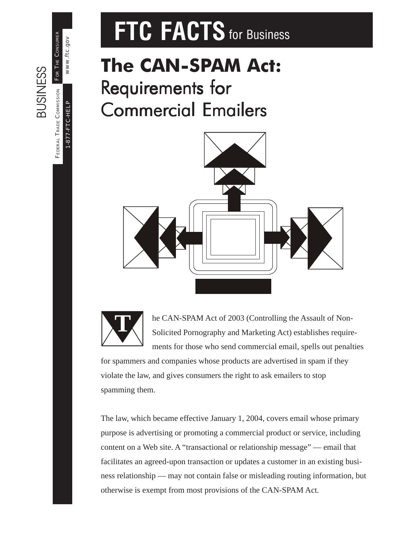# **FTC FACTS** for Business

# **The CAN-SPAM Act:** Requirements for **Commercial Emailers**





he CAN-SPAM Act of 2003 (Controlling the Assault of Non-Solicited Pornography and Marketing Act) establishes requirements for those who send commercial email, spells out penalties

for spammers and companies whose products are advertised in spam if they violate the law, and gives consumers the right to ask emailers to stop spamming them.

The law, which became effective January 1, 2004, covers email whose primary purpose is advertising or promoting a commercial product or service, including content on a Web site. A "transactional or relationship message" — email that facilitates an agreed-upon transaction or updates a customer in an existing business relationship — may not contain false or misleading routing information, but otherwise is exempt from most provisions of the CAN-SPAM Act.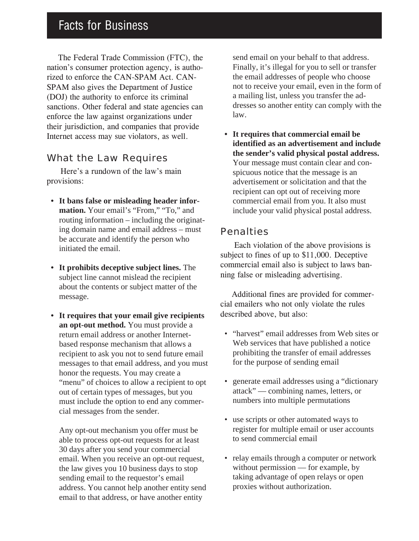### Facts for Business

The Federal Trade Commission (FTC), the nation's consumer protection agency, is authorized to enforce the CAN-SPAM Act. CAN-SPAM also gives the Department of Justice (DOJ) the authority to enforce its criminal sanctions. Other federal and state agencies can enforce the law against organizations under their jurisdiction, and companies that provide Internet access may sue violators, as well.

#### What the Law Requires

 Here's a rundown of the law's main provisions:

- **It bans false or misleading header information.** Your email's "From," "To," and routing information – including the originating domain name and email address – must be accurate and identify the person who initiated the email.
- **It prohibits deceptive subject lines.** The subject line cannot mislead the recipient about the contents or subject matter of the message.
- **It requires that your email give recipients an opt-out method.** You must provide a return email address or another Internetbased response mechanism that allows a recipient to ask you not to send future email messages to that email address, and you must honor the requests. You may create a "menu" of choices to allow a recipient to opt out of certain types of messages, but you must include the option to end any commercial messages from the sender.

Any opt-out mechanism you offer must be able to process opt-out requests for at least 30 days after you send your commercial email. When you receive an opt-out request, the law gives you 10 business days to stop sending email to the requestor's email address. You cannot help another entity send email to that address, or have another entity

send email on your behalf to that address. Finally, it's illegal for you to sell or transfer the email addresses of people who choose not to receive your email, even in the form of a mailing list, unless you transfer the addresses so another entity can comply with the law.

**• It requires that commercial email be identified as an advertisement and include the sender's valid physical postal address.** Your message must contain clear and conspicuous notice that the message is an advertisement or solicitation and that the recipient can opt out of receiving more commercial email from you. It also must include your valid physical postal address.

#### Penalties

Each violation of the above provisions is subject to fines of up to \$11,000. Deceptive commercial email also is subject to laws banning false or misleading advertising.

Additional fines are provided for commercial emailers who not only violate the rules described above, but also:

- "harvest" email addresses from Web sites or Web services that have published a notice prohibiting the transfer of email addresses for the purpose of sending email
- generate email addresses using a "dictionary attack" — combining names, letters, or numbers into multiple permutations
- use scripts or other automated ways to register for multiple email or user accounts to send commercial email
- relay emails through a computer or network without permission — for example, by taking advantage of open relays or open proxies without authorization.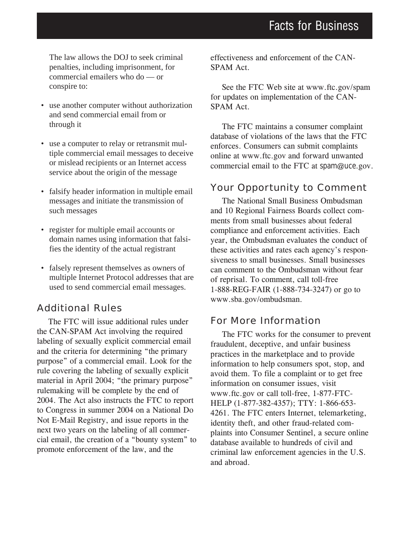The law allows the DOJ to seek criminal penalties, including imprisonment, for commercial emailers who do — or conspire to:

- use another computer without authorization and send commercial email from or through it
- use a computer to relay or retransmit multiple commercial email messages to deceive or mislead recipients or an Internet access service about the origin of the message
- falsify header information in multiple email messages and initiate the transmission of such messages
- register for multiple email accounts or domain names using information that falsifies the identity of the actual registrant
- falsely represent themselves as owners of multiple Internet Protocol addresses that are used to send commercial email messages.

#### Additional Rules

The FTC will issue additional rules under the CAN-SPAM Act involving the required labeling of sexually explicit commercial email and the criteria for determining "the primary purpose" of a commercial email. Look for the rule covering the labeling of sexually explicit material in April 2004; "the primary purpose" rulemaking will be complete by the end of 2004. The Act also instructs the FTC to report to Congress in summer 2004 on a National Do Not E-Mail Registry, and issue reports in the next two years on the labeling of all commercial email, the creation of a "bounty system" to promote enforcement of the law, and the

effectiveness and enforcement of the CAN-SPAM Act.

See the FTC Web site at www.ftc.gov/spam for updates on implementation of the CAN-SPAM Act.

The FTC maintains a consumer complaint database of violations of the laws that the FTC enforces. Consumers can submit complaints online at www.ftc.gov and forward unwanted commercial email to the FTC at spam@uce.gov.

#### Your Opportunity to Comment

The National Small Business Ombudsman and 10 Regional Fairness Boards collect comments from small businesses about federal compliance and enforcement activities. Each year, the Ombudsman evaluates the conduct of these activities and rates each agency's responsiveness to small businesses. Small businesses can comment to the Ombudsman without fear of reprisal. To comment, call toll-free 1-888-REG-FAIR (1-888-734-3247) or go to www.sba.gov/ombudsman.

#### For More Information

The FTC works for the consumer to prevent fraudulent, deceptive, and unfair business practices in the marketplace and to provide information to help consumers spot, stop, and avoid them. To file a complaint or to get free information on consumer issues, visit www.ftc.gov or call toll-free, 1-877-FTC-HELP (1-877-382-4357); TTY: 1-866-653- 4261. The FTC enters Internet, telemarketing, identity theft, and other fraud-related complaints into Consumer Sentinel, a secure online database available to hundreds of civil and criminal law enforcement agencies in the U.S. and abroad.